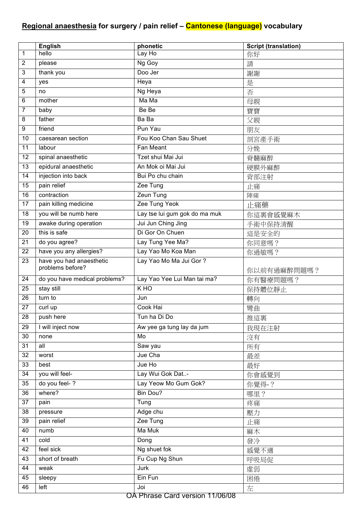## **Regional anaesthesia for surgery / pain relief – Cantonese (language) vocabulary**

|                 | <b>English</b>                | phonetic                      | <b>Script (translation)</b> |
|-----------------|-------------------------------|-------------------------------|-----------------------------|
| $\mathbf{1}$    | hello                         | Lay Ho                        | 你好                          |
| $\overline{2}$  | please                        | Ng Goy                        | 請                           |
| 3               | thank you                     | Doo Jer                       | 謝謝                          |
| 4               | yes                           | Heya                          | 是                           |
| 5               | no                            | Ng Heya                       | 否                           |
| 6               | mother                        | Ma Ma                         | 母親                          |
| 7               | baby                          | Be Be                         | 寶寶                          |
| 8               | father                        | Ba Ba                         | 父親                          |
| 9               | friend                        | Pun Yau                       | 朋友                          |
| 10              | caesarean section             | Fou Koo Chan Sau Shuet        | 剖宮產手術                       |
| 11              | labour                        | Fan Meant                     | 分娩                          |
| 12              | spinal anaesthetic            | Tzet shui Mai Jui             | 脊髓麻醉                        |
| 13              | epidural anaesthetic          | An Mok oi Mai Jui             | 硬膜外麻醉                       |
| 14              | injection into back           | Bui Po chu chain              | 背部注射                        |
| 15              | pain relief                   | Zee Tung                      | 止痛                          |
| 16              | contraction                   | Zeun Tung                     | 陣痛                          |
| 17              | pain killing medicine         | Zee Tung Yeok                 | 止痛藥                         |
| 18              | you will be numb here         | Lay tse lui gum gok do ma muk | 你這裏會感覺麻木                    |
| 19              | awake during operation        | Jui Jun Ching Jing            | 手術中保持清醒                     |
| 20              | this is safe                  | Di Gor On Chuen               | 這是安全的                       |
| 21              | do you agree?                 | Lay Tung Yee Ma?              | 你同意嗎?                       |
| $\overline{22}$ | have you any allergies?       | Lay Yao Mo Koa Man            | 你過敏嗎?                       |
| 23              | have you had anaesthetic      | Lay Yao Mo Ma Jui Gor?        |                             |
|                 | problems before?              |                               | 你以前有過麻醉問題嗎?                 |
| 24              | do you have medical problems? | Lay Yao Yee Lui Man tai ma?   | 你有醫療問題嗎?                    |
| 25              | stay still                    | K <sub>HO</sub>               | 保持體位靜止                      |
| 26              | turn to                       | Jun                           | 轉向                          |
| 27              | curl up                       | Cook Hai                      | 彎曲                          |
| 28              | push here                     | Tun ha Di Do                  | 推這裏                         |
| 29              | I will inject now             | Aw yee ga tung lay da jum     | 我現在注射                       |
| 30              | none                          | Mo                            | 沒有                          |
| 31              | all                           | Saw yau                       | 所有                          |
| 32              | worst                         | Jue Cha                       | 最差                          |
| 33              | best                          | Jue Ho                        | 最好                          |
| 34              | you will feel-                | Lay Wui Gok Dat-              | 你會感覺到                       |
| 35              | do you feel-?                 | Lay Yeow Mo Gum Gok?          | 你覺得-?                       |
| 36              | where?                        | Bin Dou?                      | 哪里?                         |
| 37              | pain                          | Tung                          | 疼痛                          |
| $\overline{38}$ | pressure                      | Adge chu                      | 壓力                          |
| 39              | pain relief                   | Zee Tung                      | 止痛                          |
| 40              | numb                          | Ma Muk                        | 麻木                          |
| 41              | cold                          | Dong                          | 發冷                          |
| 42              | feel sick                     | Ng shuet fok                  | 感覺不適                        |
| 43              | short of breath               | Fu Cup Ng Shun                | 呼吸局促                        |
| 44              | weak                          | Jurk                          | 虛弱                          |
| 45              | sleepy                        | Ein Fun                       | 困倦                          |
| 46              | left                          | Joi                           | 左                           |

OA Phrase Card version 11/06/08